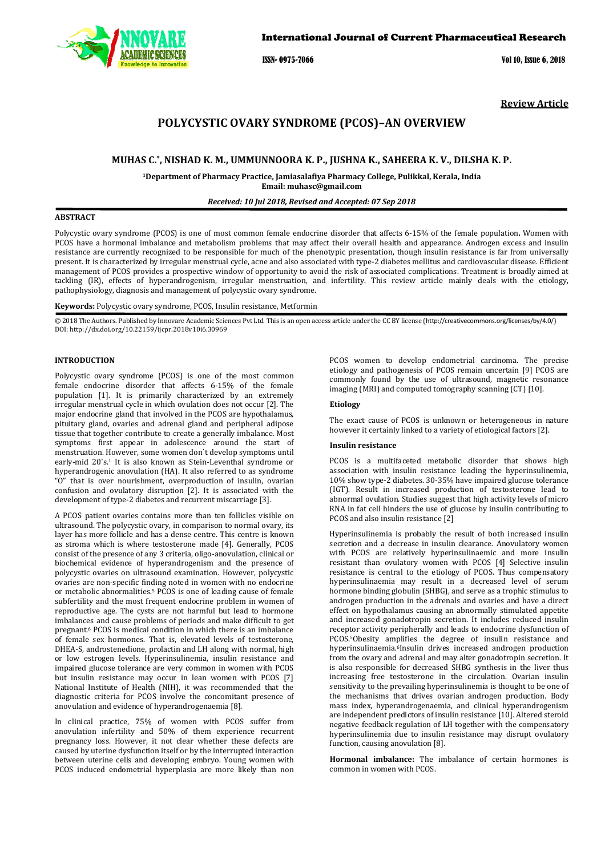

## International Journal of Current Pharmaceutical Research

ISSN- 0975-7066 Vol 10, Issue 6, 2018

**Review Article** 

# **POLYCYSTIC OVARY SYNDROME (PCOS)–AN OVERVIEW**

## **MUHAS C.\* , NISHAD K. M., UMMUNNOORA K. P., JUSHNA K., SAHEERA K. V., DILSHA K. P.**

**<sup>1</sup>Department of Pharmacy Practice, Jamiasalafiya Pharmacy College, Pulikkal, Kerala, India Email: muhasc@gmail.com** 

*Received: 10 Jul 2018, Revised and Accepted: 07 Sep 2018* 

## **ABSTRACT**

Polycystic ovary syndrome (PCOS) is one of most common female endocrine disorder that affects 6-15% of the female population**.** Women with PCOS have a hormonal imbalance and metabolism problems that may affect their overall health and appearance. Androgen excess and insulin resistance are currently recognized to be responsible for much of the phenotypic presentation, though insulin resistance is far from universally present. It is characterized by irregular menstrual cycle, acne and also associated with type-2 diabetes mellitus and cardiovascular disease. Efficient management of PCOS provides a prospective window of opportunity to avoid the risk of associated complications. Treatment is broadly aimed at tackling (IR), effects of hyperandrogenism, irregular menstruation, and infertility. This review article mainly deals with the etiology, pathophysiology, diagnosis and management of polycystic ovary syndrome.

**Keywords:** Polycystic ovary syndrome, PCOS, Insulin resistance, Metformin

© 2018 The Authors. Published by Innovare Academic Sciences Pvt Ltd. This is an open access article under the CC BY license (http://creativecommons.org/licenses/by/4.0/) DOI: http://dx.doi.org/10.22159/ijcpr.2018v10i6.30969

### **INTRODUCTION**

Polycystic ovary syndrome (PCOS) is one of the most common female endocrine disorder that affects 6-15% of the female population [1]. It is primarily characterized by an extremely irregular menstrual cycle in which ovulation does not occur [2]. The major endocrine gland that involved in the PCOS are hypothalamus, pituitary gland, ovaries and adrenal gland and peripheral adipose tissue that together contribute to create a generally imbalance. Most symptoms first appear in adolescence around the start of menstruation. However, some women don`t develop symptoms until early-mid 20`s.<sup>1</sup> It is also known as Stein-Leventhal syndrome or hyperandrogenic anovulation (HA). It also referred to as syndrome "O" that is over nourishment, overproduction of insulin, ovarian confusion and ovulatory disruption [2]. It is associated with the development of type-2 diabetes and recurrent miscarriage [3].

A PCOS patient ovaries contains more than ten follicles visible on ultrasound. The polycystic ovary, in comparison to normal ovary, its layer has more follicle and has a dense centre. This centre is known as stroma which is where testosterone made [4]. Generally, PCOS consist of the presence of any 3 criteria, oligo-anovulation, clinical or biochemical evidence of hyperandrogenism and the presence of polycystic ovaries on ultrasound examination. However, polycystic ovaries are non-specific finding noted in women with no endocrine or metabolic abnormalities.5 PCOS is one of leading cause of female subfertility and the most frequent endocrine problem in women of reproductive age. The cysts are not harmful but lead to hormone imbalances and cause problems of periods and make difficult to get pregnant.6 PCOS is medical condition in which there is an imbalance of female sex hormones. That is, elevated levels of testosterone, DHEA-S, androstenedione, prolactin and LH along with normal, high or low estrogen levels. Hyperinsulinemia, insulin resistance and impaired glucose tolerance are very common in women with PCOS but insulin resistance may occur in lean women with PCOS [7] National Institute of Health (NIH), it was recommended that the diagnostic criteria for PCOS involve the concomitant presence of anovulation and evidence of hyperandrogenaemia [8].

In clinical practice, 75% of women with PCOS suffer from anovulation infertility and 50% of them experience recurrent pregnancy loss. However, it not clear whether these defects are caused by uterine dysfunction itself or by the interrupted interaction between uterine cells and developing embryo. Young women with PCOS induced endometrial hyperplasia are more likely than non

PCOS women to develop endometrial carcinoma. The precise etiology and pathogenesis of PCOS remain uncertain [9] PCOS are commonly found by the use of ultrasound, magnetic resonance imaging (MRI) and computed tomography scanning (CT) [10].

#### **Etiology**

The exact cause of PCOS is unknown or heterogeneous in nature however it certainly linked to a variety of etiological factors [2].

#### **Insulin resistance**

PCOS is a multifaceted metabolic disorder that shows high association with insulin resistance leading the hyperinsulinemia, 10% show type-2 diabetes. 30-35% have impaired glucose tolerance (IGT). Result in increased production of testosterone lead to abnormal ovulation. Studies suggest that high activity levels of micro RNA in fat cell hinders the use of glucose by insulin contributing to PCOS and also insulin resistance [2]

Hyperinsulinemia is probably the result of both increased insulin secretion and a decrease in insulin clearance. Anovulatory women with PCOS are relatively hyperinsulinaemic and more insulin resistant than ovulatory women with PCOS [4] Selective insulin resistance is central to the etiology of PCOS. Thus compensatory hyperinsulinaemia may result in a decreased level of serum hormone binding globulin (SHBG), and serve as a trophic stimulus to androgen production in the adrenals and ovaries and have a direct effect on hypothalamus causing an abnormally stimulated appetite and increased gonadotropin secretion. It includes reduced insulin receptor activity peripherally and leads to endocrine dysfunction of PCOS.5Obesity amplifies the degree of insulin resistance and hyperinsulinaemia.6Insulin drives increased androgen production from the ovary and adrenal and may alter gonadotropin secretion. It is also responsible for decreased SHBG synthesis in the liver thus increasing free testosterone in the circulation. Ovarian insulin sensitivity to the prevailing hyperinsulinemia is thought to be one of the mechanisms that drives ovarian androgen production. Body mass index, hyperandrogenaemia, and clinical hyperandrogenism are independent predictors of insulin resistance [10]. Altered steroid negative feedback regulation of LH together with the compensatory hyperinsulinemia due to insulin resistance may disrupt ovulatory function, causing anovulation [8].

**Hormonal imbalance:** The imbalance of certain hormones is common in women with PCOS.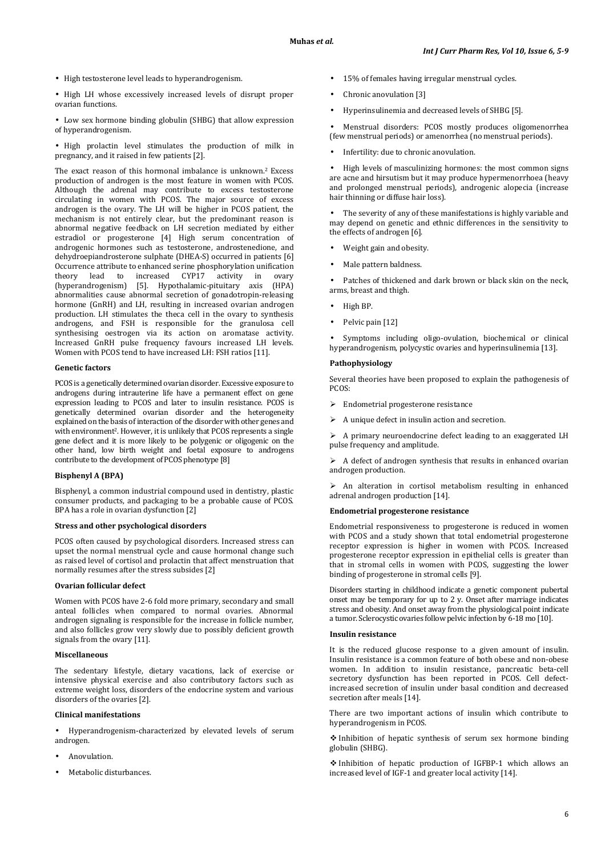• High testosterone level leads to hyperandrogenism.

• High LH whose excessively increased levels of disrupt proper ovarian functions.

• Low sex hormone binding globulin (SHBG) that allow expression of hyperandrogenism.

• High prolactin level stimulates the production of milk in pregnancy, and it raised in few patients [2].

The exact reason of this hormonal imbalance is unknown.2 Excess production of androgen is the most feature in women with PCOS. Although the adrenal may contribute to excess testosterone circulating in women with PCOS. The major source of excess androgen is the ovary. The LH will be higher in PCOS patient, the mechanism is not entirely clear, but the predominant reason is abnormal negative feedback on LH secretion mediated by either estradiol or progesterone [4] High serum concentration of androgenic hormones such as testosterone, androstenedione, and dehydroepiandrosterone sulphate (DHEA-S) occurred in patients [6] Occurrence attribute to enhanced serine phosphorylation unification<br>theory lead to increased CYP17 activity in ovary theory lead to increased CYP17 activity in ovary<br>(hyperandrogenism) [5]. Hypothalamic-pituitary axis (HPA)  $(hyperandrogenism)$  [5]. Hypothalamic-pituitary axis abnormalities cause abnormal secretion of gonadotropin-releasing hormone (GnRH) and LH, resulting in increased ovarian androgen production. LH stimulates the theca cell in the ovary to synthesis androgens, and FSH is responsible for the granulosa cell synthesising oestrogen via its action on aromatase activity. Increased GnRH pulse frequency favours increased LH levels. Women with PCOS tend to have increased LH: FSH ratios [11].

### **Genetic factors**

PCOS is a genetically determined ovarian disorder. Excessive exposure to androgens during intrauterine life have a permanent effect on gene expression leading to PCOS and later to insulin resistance. PCOS is genetically determined ovarian disorder and the heterogeneity explained on the basis of interaction of the disorder with other genes and with environment<sup>2</sup>. However, it is unlikely that PCOS represents a single gene defect and it is more likely to be polygenic or oligogenic on the other hand, low birth weight and foetal exposure to androgens contribute to the development of PCOS phenotype [8]

### **Bisphenyl A (BPA)**

Bisphenyl, a common industrial compound used in dentistry, plastic consumer products, and packaging to be a probable cause of PCOS. BPA has a role in ovarian dysfunction [2]

### **Stress and other psychological disorders**

PCOS often caused by psychological disorders. Increased stress can upset the normal menstrual cycle and cause hormonal change such as raised level of cortisol and prolactin that affect menstruation that normally resumes after the stress subsides [2]

## **Ovarian follicular defect**

Women with PCOS have 2-6 fold more primary, secondary and small anteal follicles when compared to normal ovaries. Abnormal androgen signaling is responsible for the increase in follicle number, and also follicles grow very slowly due to possibly deficient growth signals from the ovary [11].

## **Miscellaneous**

The sedentary lifestyle, dietary vacations, lack of exercise or intensive physical exercise and also contributory factors such as extreme weight loss, disorders of the endocrine system and various disorders of the ovaries [2].

## **Clinical manifestations**

• Hyperandrogenism-characterized by elevated levels of serum androgen.

- Anovulation.
- Metabolic disturbances.
- 15% of females having irregular menstrual cycles.
- Chronic anovulation [3]
- Hyperinsulinemia and decreased levels of SHBG [5].

• Menstrual disorders: PCOS mostly produces oligomenorrhea (few menstrual periods) or amenorrhea (no menstrual periods).

• Infertility: due to chronic anovulation.

• High levels of masculinizing hormones: the most common signs are acne and hirsutism but it may produce hypermenorrhoea (heavy and prolonged menstrual periods), androgenic alopecia (increase hair thinning or diffuse hair loss).

• The severity of any of these manifestations is highly variable and may depend on genetic and ethnic differences in the sensitivity to the effects of androgen [6].

- Weight gain and obesity.
- Male pattern baldness.

Patches of thickened and dark brown or black skin on the neck. arms, breast and thigh.

- High BP.
- Pelvic pain [12]

Symptoms including oligo-ovulation, biochemical or clinical hyperandrogenism, polycystic ovaries and hyperinsulinemia [13].

## **Pathophysiology**

Several theories have been proposed to explain the pathogenesis of PCOS:

- > Endometrial progesterone resistance
- $\triangleright$  A unique defect in insulin action and secretion.

 $\triangleright$  A primary neuroendocrine defect leading to an exaggerated LH pulse frequency and amplitude.

 $\triangleright$  A defect of androgen synthesis that results in enhanced ovarian androgen production.

 $\triangleright$  An alteration in cortisol metabolism resulting in enhanced adrenal androgen production [14].

### **Endometrial progesterone resistance**

Endometrial responsiveness to progesterone is reduced in women with PCOS and a study shown that total endometrial progesterone receptor expression is higher in women with PCOS. Increased progesterone receptor expression in epithelial cells is greater than that in stromal cells in women with PCOS, suggesting the lower binding of progesterone in stromal cells [9].

Disorders starting in childhood indicate a genetic component pubertal onset may be temporary for up to 2 y. Onset after marriage indicates stress and obesity. And onset away from the physiological point indicate a tumor. Sclerocystic ovaries follow pelvic infection by 6-18 mo [10].

## **Insulin resistance**

It is the reduced glucose response to a given amount of insulin. Insulin resistance is a common feature of both obese and non-obese women. In addition to insulin resistance, pancreatic beta-cell secretory dysfunction has been reported in PCOS. Cell defectincreased secretion of insulin under basal condition and decreased secretion after meals [14].

There are two important actions of insulin which contribute to hyperandrogenism in PCOS.

- Inhibition of hepatic synthesis of serum sex hormone binding globulin (SHBG).

- Inhibition of hepatic production of IGFBP-1 which allows an increased level of IGF-1 and greater local activity [14].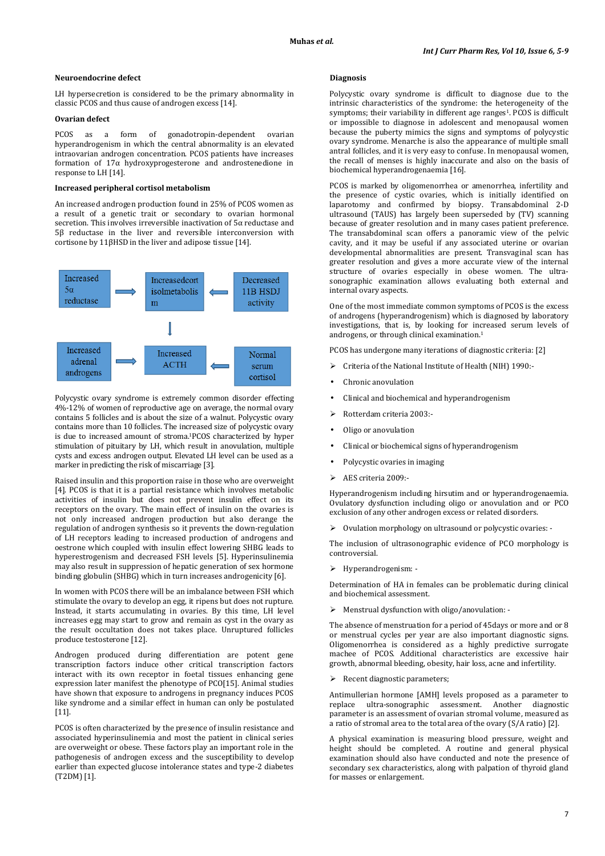#### **Neuroendocrine defect**

LH hypersecretion is considered to be the primary abnormality in classic PCOS and thus cause of androgen excess [14].

### **Ovarian defect**

PCOS as a form of gonadotropin-dependent ovarian hyperandrogenism in which the central abnormality is an elevated intraovarian androgen concentration. PCOS patients have increases formation of 17α hydroxyprogesterone and androstenedione in response to LH [14].

#### **Increased peripheral cortisol metabolism**

An increased androgen production found in 25% of PCOS women as a result of a genetic trait or secondary to ovarian hormonal secretion. This involves irreversible inactivation of 5α reductase and 5β reductase in the liver and reversible interconversion with cortisone by 11βHSD in the liver and adipose tissue [14].



Polycystic ovary syndrome is extremely common disorder effecting 4%-12% of women of reproductive age on average, the normal ovary contains 5 follicles and is about the size of a walnut. Polycystic ovary contains more than 10 follicles. The increased size of polycystic ovary is due to increased amount of stroma.1PCOS characterized by hyper stimulation of pituitary by LH, which result in anovulation, multiple cysts and excess androgen output. Elevated LH level can be used as a marker in predicting the risk of miscarriage [3].

Raised insulin and this proportion raise in those who are overweight [4]. PCOS is that it is a partial resistance which involves metabolic activities of insulin but does not prevent insulin effect on its receptors on the ovary. The main effect of insulin on the ovaries is not only increased androgen production but also derange the regulation of androgen synthesis so it prevents the down-regulation of LH receptors leading to increased production of androgens and oestrone which coupled with insulin effect lowering SHBG leads to hyperestrogenism and decreased FSH levels [5]. Hyperinsulinemia may also result in suppression of hepatic generation of sex hormone binding globulin (SHBG) which in turn increases androgenicity [6].

In women with PCOS there will be an imbalance between FSH which stimulate the ovary to develop an egg, it ripens but does not rupture. Instead, it starts accumulating in ovaries. By this time, LH level increases egg may start to grow and remain as cyst in the ovary as the result occultation does not takes place. Unruptured follicles produce testosterone [12].

Androgen produced during differentiation are potent gene transcription factors induce other critical transcription factors interact with its own receptor in foetal tissues enhancing gene expression later manifest the phenotype of PCO[15]. Animal studies have shown that exposure to androgens in pregnancy induces PCOS like syndrome and a similar effect in human can only be postulated [11].

PCOS is often characterized by the presence of insulin resistance and associated hyperinsulinemia and most the patient in clinical series are overweight or obese. These factors play an important role in the pathogenesis of androgen excess and the susceptibility to develop earlier than expected glucose intolerance states and type-2 diabetes (T2DM) [1].

#### **Diagnosis**

Polycystic ovary syndrome is difficult to diagnose due to the intrinsic characteristics of the syndrome: the heterogeneity of the symptoms; their variability in different age ranges<sup>1</sup>. PCOS is difficult or impossible to diagnose in adolescent and menopausal women because the puberty mimics the signs and symptoms of polycystic ovary syndrome. Menarche is also the appearance of multiple small antral follicles, and it is very easy to confuse. In menopausal women, the recall of menses is highly inaccurate and also on the basis of biochemical hyperandrogenaemia [16].

PCOS is marked by oligomenorrhea or amenorrhea, infertility and the presence of cystic ovaries, which is initially identified on laparotomy and confirmed by biopsy. Transabdominal 2-D ultrasound (TAUS) has largely been superseded by (TV) scanning because of greater resolution and in many cases patient preference. The transabdominal scan offers a panoramic view of the pelvic cavity, and it may be useful if any associated uterine or ovarian developmental abnormalities are present. Transvaginal scan has greater resolution and gives a more accurate view of the internal structure of ovaries especially in obese women. The ultrasonographic examination allows evaluating both external and internal ovary aspects.

One of the most immediate common symptoms of PCOS is the excess of androgens (hyperandrogenism) which is diagnosed by laboratory investigations, that is, by looking for increased serum levels of androgens, or through clinical examination.<sup>1</sup>

PCOS has undergone many iterations of diagnostic criteria: [2]

- Criteria of the National Institute of Health (NIH) 1990:-
- Chronic anovulation
- Clinical and biochemical and hyperandrogenism
- Rotterdam criteria 2003:-
- Oligo or anovulation
- Clinical or biochemical signs of hyperandrogenism
- Polycystic ovaries in imaging
- $\triangleright$  AES criteria 2009:-

Hyperandrogenism including hirsutim and or hyperandrogenaemia. Ovulatory dysfunction including oligo or anovulation and or PCO exclusion of any other androgen excess or related disorders.

 $\triangleright$  Ovulation morphology on ultrasound or polycystic ovaries: -

The inclusion of ultrasonographic evidence of PCO morphology is controversial.

Hyperandrogenism: -

Determination of HA in females can be problematic during clinical and biochemical assessment.

Menstrual dysfunction with oligo/anovulation: -

The absence of menstruation for a period of 45days or more and or 8 or menstrual cycles per year are also important diagnostic signs. Oligomenorrhea is considered as a highly predictive surrogate machee of PCOS. Additional characteristics are excessive hair growth, abnormal bleeding, obesity, hair loss, acne and infertility.

#### $\triangleright$  Recent diagnostic parameters;

Antimullerian hormone [AMH] levels proposed as a parameter to replace ultra-sonographic assessment. Another diagnostic parameter is an assessment of ovarian stromal volume, measured as a ratio of stromal area to the total area of the ovary (S/A ratio) [2].

A physical examination is measuring blood pressure, weight and height should be completed. A routine and general physical examination should also have conducted and note the presence of secondary sex characteristics, along with palpation of thyroid gland for masses or enlargement.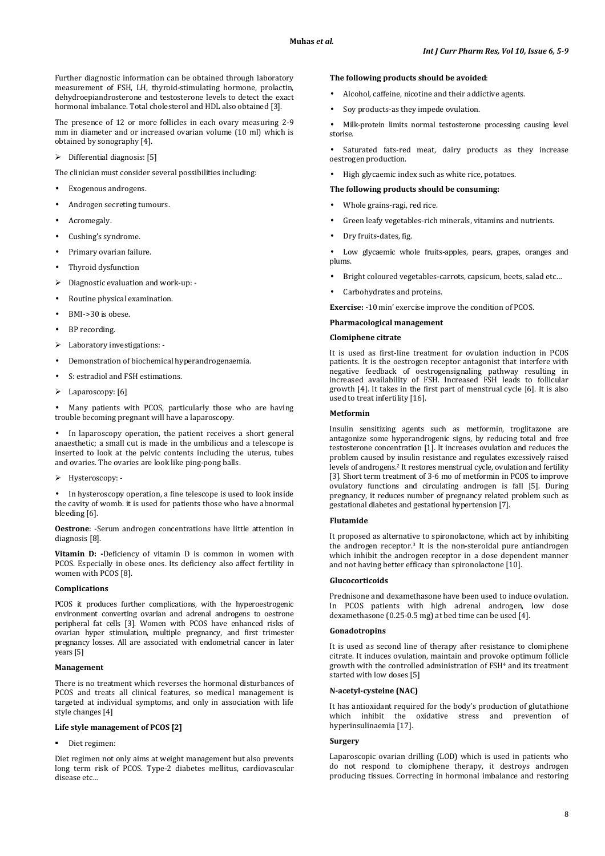Further diagnostic information can be obtained through laboratory measurement of FSH, LH, thyroid-stimulating hormone, prolactin, dehydroepiandrosterone and testosterone levels to detect the exact hormonal imbalance. Total cholesterol and HDL also obtained [3].

The presence of 12 or more follicles in each ovary measuring 2-9 mm in diameter and or increased ovarian volume (10 ml) which is obtained by sonography [4].

## $\triangleright$  Differential diagnosis: [5]

The clinician must consider several possibilities including:

- Exogenous androgens.
- Androgen secreting tumours.
- Acromegaly.
- Cushing's syndrome.
- Primary ovarian failure.
- Thyroid dysfunction
- > Diagnostic evaluation and work-up: -
- Routine physical examination.
- BMI->30 is obese.
- BP recording.
- Laboratory investigations: -
- Demonstration of biochemical hyperandrogenaemia.
- S: estradiol and FSH estimations.
- Laparoscopy: [6]

Many patients with PCOS, particularly those who are having trouble becoming pregnant will have a laparoscopy.

In laparoscopy operation, the patient receives a short general anaesthetic; a small cut is made in the umbilicus and a telescope is inserted to look at the pelvic contents including the uterus, tubes and ovaries. The ovaries are look like ping-pong balls.

Hysteroscopy: -

• In hysteroscopy operation, a fine telescope is used to look inside the cavity of womb. it is used for patients those who have abnormal bleeding [6].

**Oestrone**: -Serum androgen concentrations have little attention in diagnosis [8].

**Vitamin D: -**Deficiency of vitamin D is common in women with PCOS. Especially in obese ones. Its deficiency also affect fertility in women with PCOS [8].

#### **Complications**

PCOS it produces further complications, with the hyperoestrogenic environment converting ovarian and adrenal androgens to oestrone peripheral fat cells [3]. Women with PCOS have enhanced risks of ovarian hyper stimulation, multiple pregnancy, and first trimester pregnancy losses. All are associated with endometrial cancer in later years [5]

#### **Management**

There is no treatment which reverses the hormonal disturbances of PCOS and treats all clinical features, so medical management is targeted at individual symptoms, and only in association with life style changes [4]

## **Life style management of PCOS [2]**

Diet regimen:

Diet regimen not only aims at weight management but also prevents long term risk of PCOS. Type-2 diabetes mellitus, cardiovascular disease etc…

#### **The following products should be avoided**:

- Alcohol, caffeine, nicotine and their addictive agents.
- Soy products-as they impede ovulation.

• Milk-protein limits normal testosterone processing causing level storise.

Saturated fats-red meat, dairy products as they increase oestrogen production.

• High glycaemic index such as white rice, potatoes.

## **The following products should be consuming:**

- Whole grains-ragi, red rice.
- Green leafy vegetables-rich minerals, vitamins and nutrients.
- Dry fruits-dates, fig.

Low glycaemic whole fruits-apples, pears, grapes, oranges and plums.

- Bright coloured vegetables-carrots, capsicum, beets, salad etc…
- Carbohydrates and proteins.

**Exercise: -**10 min' exercise improve the condition of PCOS.

### **Pharmacological management**

#### **Clomiphene citrate**

It is used as first-line treatment for ovulation induction in PCOS patients. It is the oestrogen receptor antagonist that interfere with negative feedback of oestrogensignaling pathway resulting in increased availability of FSH. Increased FSH leads to follicular growth [4]. It takes in the first part of menstrual cycle [6]. It is also used to treat infertility [16].

#### **Metformin**

Insulin sensitizing agents such as metformin, troglitazone are antagonize some hyperandrogenic signs, by reducing total and free testosterone concentration [1]. It increases ovulation and reduces the problem caused by insulin resistance and regulates excessively raised levels of androgens.2 It restores menstrual cycle, ovulation and fertility [3]. Short term treatment of 3-6 mo of metformin in PCOS to improve ovulatory functions and circulating androgen is fall [5]. During pregnancy, it reduces number of pregnancy related problem such as gestational diabetes and gestational hypertension [7].

#### **Flutamide**

It proposed as alternative to spironolactone, which act by inhibiting the androgen receptor.3 It is the non-steroidal pure antiandrogen which inhibit the androgen receptor in a dose dependent manner and not having better efficacy than spironolactone [10].

#### **Glucocorticoids**

Prednisone and dexamethasone have been used to induce ovulation. In PCOS patients with high adrenal androgen, low dose dexamethasone (0.25-0.5 mg) at bed time can be used [4].

#### **Gonadotropins**

It is used as second line of therapy after resistance to clomiphene citrate. It induces ovulation, maintain and provoke optimum follicle growth with the controlled administration of FSH4 and its treatment started with low doses [5]

#### **N-acetyl-cysteine (NAC)**

It has antioxidant required for the body's production of glutathione which inhibit the oxidative stress and prevention hyperinsulinaemia [17].

## **Surgery**

Laparoscopic ovarian drilling (LOD) which is used in patients who do not respond to clomiphene therapy, it destroys androgen producing tissues. Correcting in hormonal imbalance and restoring